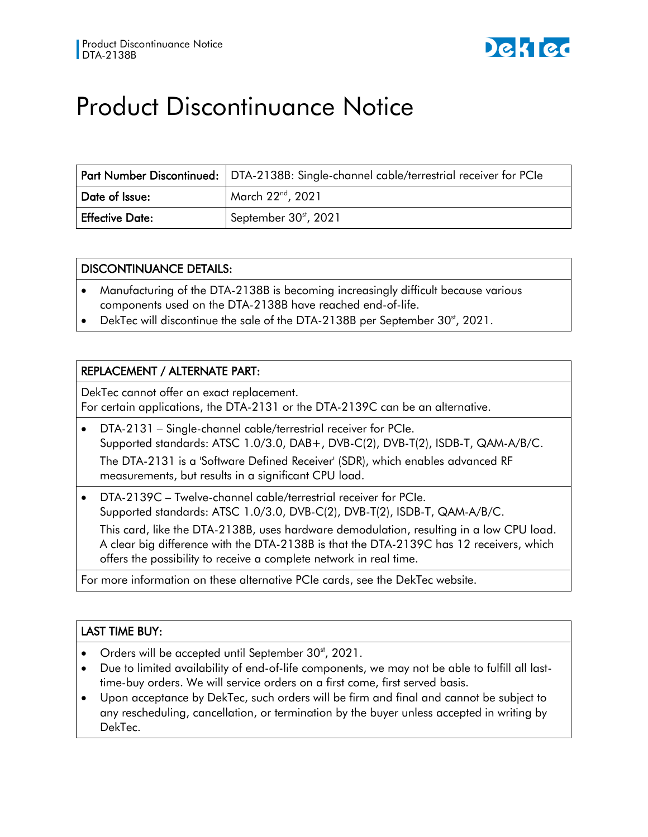

# Product Discontinuance Notice

|                        | Part Number Discontinued:   DTA-2138B: Single-channel cable/terrestrial receiver for PCIe |
|------------------------|-------------------------------------------------------------------------------------------|
| Date of Issue:         | March 22 <sup>nd</sup> , 2021                                                             |
| <b>Effective Date:</b> | September 30 <sup>st</sup> , 2021                                                         |

#### DISCONTINUANCE DETAILS:

- Manufacturing of the DTA-2138B is becoming increasingly difficult because various components used on the DTA-2138B have reached end-of-life.
- DekTec will discontinue the sale of the DTA-2138B per September 30<sup>st</sup>, 2021.

### REPLACEMENT / ALTERNATE PART:

DekTec cannot offer an exact replacement. For certain applications, the DTA-2131 or the DTA-2139C can be an alternative.

• DTA-2131 – Single-channel cable/terrestrial receiver for PCIe. Supported standards: ATSC 1.0/3.0, DAB+, DVB-C(2), DVB-T(2), ISDB-T, QAM-A/B/C. The DTA-2131 is a 'Software Defined Receiver' (SDR), which enables advanced RF

measurements, but results in a significant CPU load.

• DTA-2139C – Twelve-channel cable/terrestrial receiver for PCIe. Supported standards: ATSC 1.0/3.0, DVB-C(2), DVB-T(2), ISDB-T, QAM-A/B/C. This card, like the DTA-2138B, uses hardware demodulation, resulting in a low CPU load. A clear big difference with the DTA-2138B is that the DTA-2139C has 12 receivers, which offers the possibility to receive a complete network in real time.

For more information on these alternative PCIe cards, see the DekTec website.

### LAST TIME BUY:

- Orders will be accepted until September  $30<sup>st</sup>$ , 2021.
- Due to limited availability of end-of-life components, we may not be able to fulfill all lasttime-buy orders. We will service orders on a first come, first served basis.
- Upon acceptance by DekTec, such orders will be firm and final and cannot be subject to any rescheduling, cancellation, or termination by the buyer unless accepted in writing by DekTec.